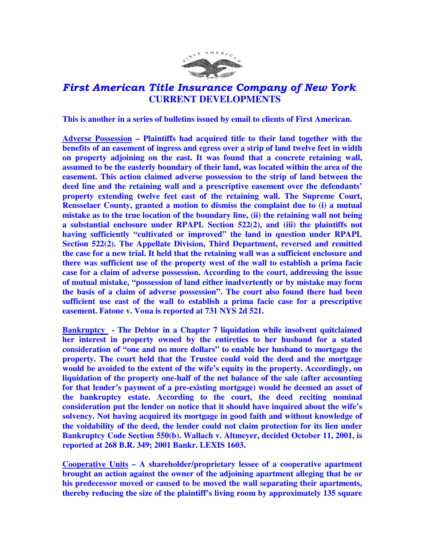

## First American Title Insurance Company of New York  **CURRENT DEVELOPMENTS**

**This is another in a series of bulletins issued by email to clients of First American.** 

**Adverse Possession – Plaintiffs had acquired title to their land together with the benefits of an easement of ingress and egress over a strip of land twelve feet in width on property adjoining on the east. It was found that a concrete retaining wall, assumed to be the easterly boundary of their land, was located within the area of the easement. This action claimed adverse possession to the strip of land between the deed line and the retaining wall and a prescriptive easement over the defendants' property extending twelve feet east of the retaining wall. The Supreme Court, Rensselaer County, granted a motion to dismiss the complaint due to (i) a mutual mistake as to the true location of the boundary line, (ii) the retaining wall not being a substantial enclosure under RPAPL Section 522(2), and (iii) the plaintiffs not having sufficiently "cultivated or improved" the land in question under RPAPL Section 522(2). The Appellate Division, Third Department, reversed and remitted the case for a new trial. It held that the retaining wall was a sufficient enclosure and there was sufficient use of the property west of the wall to establish a prima facie case for a claim of adverse possession. According to the court, addressing the issue of mutual mistake, "possession of land either inadvertently or by mistake may form the basis of a claim of adverse possession". The court also found there had been sufficient use east of the wall to establish a prima facie case for a prescriptive easement. Fatone v. Vona is reported at 731 NYS 2d 521.** 

**Bankruptcy - The Debtor in a Chapter 7 liquidation while insolvent quitclaimed her interest in property owned by the entireties to her husband for a stated consideration of "one and no more dollars" to enable her husband to mortgage the property. The court held that the Trustee could void the deed and the mortgage would be avoided to the extent of the wife's equity in the property. Accordingly, on liquidation of the property one-half of the net balance of the sale (after accounting for that lender's payment of a pre-existing mortgage) would be deemed an asset of the bankruptcy estate. According to the court, the deed reciting nominal consideration put the lender on notice that it should have inquired about the wife's solvency. Not having acquired its mortgage in good faith and without knowledge of the voidability of the deed, the lender could not claim protection for its lien under Bankruptcy Code Section 550(b). Wallach v. Altmeyer, decided October 11, 2001, is reported at 268 B.R. 349; 2001 Bankr. LEXIS 1603.** 

**Cooperative Units – A shareholder/proprietary lessee of a cooperative apartment brought an action against the owner of the adjoining apartment alleging that he or his predecessor moved or caused to be moved the wall separating their apartments, thereby reducing the size of the plaintiff's living room by approximately 135 square**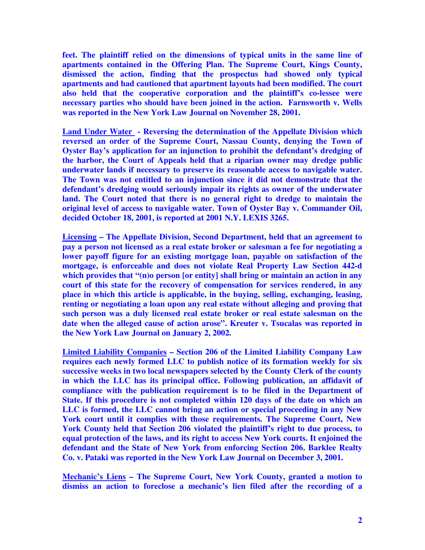**feet. The plaintiff relied on the dimensions of typical units in the same line of apartments contained in the Offering Plan. The Supreme Court, Kings County, dismissed the action, finding that the prospectus had showed only typical apartments and had cautioned that apartment layouts had been modified. The court also held that the cooperative corporation and the plaintiff's co-lessee were necessary parties who should have been joined in the action. Farnsworth v. Wells was reported in the New York Law Journal on November 28, 2001.** 

**Land Under Water - Reversing the determination of the Appellate Division which reversed an order of the Supreme Court, Nassau County, denying the Town of Oyster Bay's application for an injunction to prohibit the defendant's dredging of the harbor, the Court of Appeals held that a riparian owner may dredge public underwater lands if necessary to preserve its reasonable access to navigable water. The Town was not entitled to an injunction since it did not demonstrate that the defendant's dredging would seriously impair its rights as owner of the underwater**  land. The Court noted that there is no general right to dredge to maintain the **original level of access to navigable water. Town of Oyster Bay v. Commander Oil, decided October 18, 2001, is reported at 2001 N.Y. LEXIS 3265.** 

**Licensing – The Appellate Division, Second Department, held that an agreement to pay a person not licensed as a real estate broker or salesman a fee for negotiating a lower payoff figure for an existing mortgage loan, payable on satisfaction of the mortgage, is enforceable and does not violate Real Property Law Section 442-d which provides that "(n)o person [or entity] shall bring or maintain an action in any court of this state for the recovery of compensation for services rendered, in any place in which this article is applicable, in the buying, selling, exchanging, leasing, renting or negotiating a loan upon any real estate without alleging and proving that such person was a duly licensed real estate broker or real estate salesman on the date when the alleged cause of action arose". Kreuter v. Tsucalas was reported in the New York Law Journal on January 2, 2002.** 

**Limited Liability Companies – Section 206 of the Limited Liability Company Law requires each newly formed LLC to publish notice of its formation weekly for six successive weeks in two local newspapers selected by the County Clerk of the county in which the LLC has its principal office. Following publication, an affidavit of compliance with the publication requirement is to be filed in the Department of State. If this procedure is not completed within 120 days of the date on which an LLC is formed, the LLC cannot bring an action or special proceeding in any New York court until it complies with those requirements. The Supreme Court, New York County held that Section 206 violated the plaintiff's right to due process, to equal protection of the laws, and its right to access New York courts. It enjoined the defendant and the State of New York from enforcing Section 206. Barklee Realty Co. v. Pataki was reported in the New York Law Journal on December 3, 2001.** 

**Mechanic's Liens – The Supreme Court, New York County, granted a motion to dismiss an action to foreclose a mechanic's lien filed after the recording of a**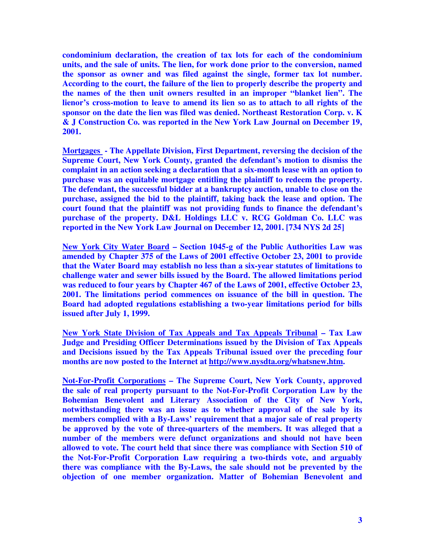**condominium declaration, the creation of tax lots for each of the condominium units, and the sale of units. The lien, for work done prior to the conversion, named the sponsor as owner and was filed against the single, former tax lot number. According to the court, the failure of the lien to properly describe the property and the names of the then unit owners resulted in an improper "blanket lien". The lienor's cross-motion to leave to amend its lien so as to attach to all rights of the sponsor on the date the lien was filed was denied. Northeast Restoration Corp. v. K & J Construction Co. was reported in the New York Law Journal on December 19, 2001.** 

**Mortgages - The Appellate Division, First Department, reversing the decision of the Supreme Court, New York County, granted the defendant's motion to dismiss the complaint in an action seeking a declaration that a six-month lease with an option to purchase was an equitable mortgage entitling the plaintiff to redeem the property. The defendant, the successful bidder at a bankruptcy auction, unable to close on the purchase, assigned the bid to the plaintiff, taking back the lease and option. The court found that the plaintiff was not providing funds to finance the defendant's purchase of the property. D&L Holdings LLC v. RCG Goldman Co. LLC was reported in the New York Law Journal on December 12, 2001. [734 NYS 2d 25]** 

**New York City Water Board – Section 1045-g of the Public Authorities Law was amended by Chapter 375 of the Laws of 2001 effective October 23, 2001 to provide that the Water Board may establish no less than a six-year statutes of limitations to challenge water and sewer bills issued by the Board. The allowed limitations period was reduced to four years by Chapter 467 of the Laws of 2001, effective October 23, 2001. The limitations period commences on issuance of the bill in question. The Board had adopted regulations establishing a two-year limitations period for bills issued after July 1, 1999.** 

**New York State Division of Tax Appeals and Tax Appeals Tribunal – Tax Law Judge and Presiding Officer Determinations issued by the Division of Tax Appeals and Decisions issued by the Tax Appeals Tribunal issued over the preceding four months are now posted to the Internet at http://www.nysdta.org/whatsnew.htm.** 

**Not-For-Profit Corporations – The Supreme Court, New York County, approved the sale of real property pursuant to the Not-For-Profit Corporation Law by the Bohemian Benevolent and Literary Association of the City of New York, notwithstanding there was an issue as to whether approval of the sale by its members complied with a By-Laws' requirement that a major sale of real property be approved by the vote of three-quarters of the members. It was alleged that a number of the members were defunct organizations and should not have been allowed to vote. The court held that since there was compliance with Section 510 of the Not-For-Profit Corporation Law requiring a two-thirds vote, and arguably there was compliance with the By-Laws, the sale should not be prevented by the objection of one member organization. Matter of Bohemian Benevolent and**